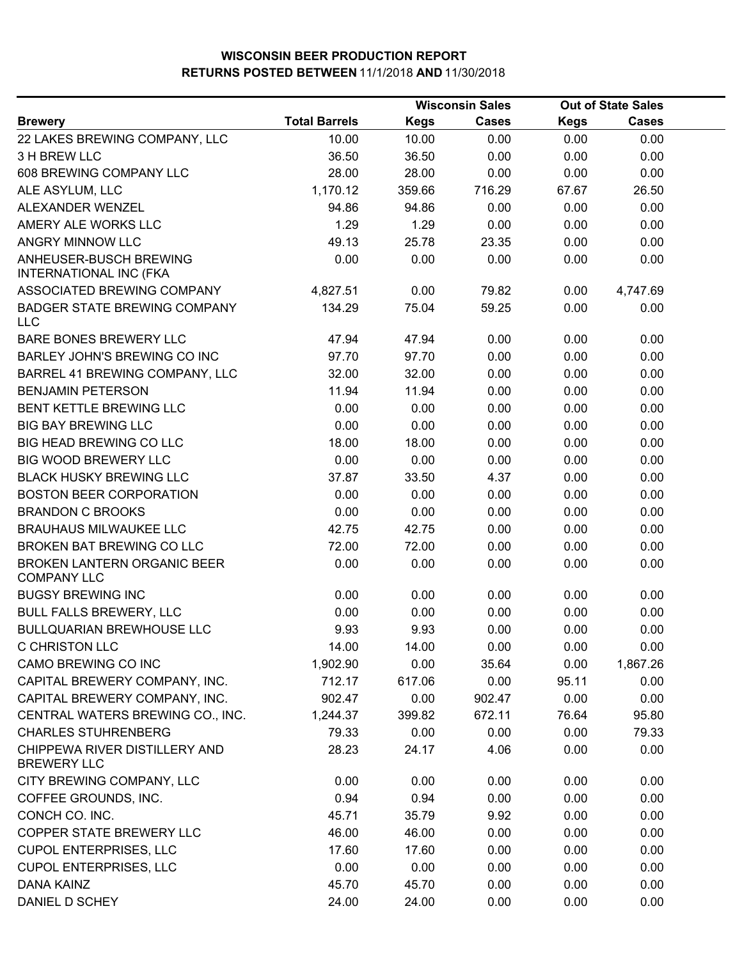|                                                          |                      |             | <b>Wisconsin Sales</b> |             | <b>Out of State Sales</b> |  |
|----------------------------------------------------------|----------------------|-------------|------------------------|-------------|---------------------------|--|
| <b>Brewery</b>                                           | <b>Total Barrels</b> | <b>Kegs</b> | <b>Cases</b>           | <b>Kegs</b> | <b>Cases</b>              |  |
| 22 LAKES BREWING COMPANY, LLC                            | 10.00                | 10.00       | 0.00                   | 0.00        | 0.00                      |  |
| 3 H BREW LLC                                             | 36.50                | 36.50       | 0.00                   | 0.00        | 0.00                      |  |
| 608 BREWING COMPANY LLC                                  | 28.00                | 28.00       | 0.00                   | 0.00        | 0.00                      |  |
| ALE ASYLUM, LLC                                          | 1,170.12             | 359.66      | 716.29                 | 67.67       | 26.50                     |  |
| ALEXANDER WENZEL                                         | 94.86                | 94.86       | 0.00                   | 0.00        | 0.00                      |  |
| AMERY ALE WORKS LLC                                      | 1.29                 | 1.29        | 0.00                   | 0.00        | 0.00                      |  |
| ANGRY MINNOW LLC                                         | 49.13                | 25.78       | 23.35                  | 0.00        | 0.00                      |  |
| ANHEUSER-BUSCH BREWING<br><b>INTERNATIONAL INC (FKA</b>  | 0.00                 | 0.00        | 0.00                   | 0.00        | 0.00                      |  |
| ASSOCIATED BREWING COMPANY                               | 4,827.51             | 0.00        | 79.82                  | 0.00        | 4,747.69                  |  |
| <b>BADGER STATE BREWING COMPANY</b><br><b>LLC</b>        | 134.29               | 75.04       | 59.25                  | 0.00        | 0.00                      |  |
| <b>BARE BONES BREWERY LLC</b>                            | 47.94                | 47.94       | 0.00                   | 0.00        | 0.00                      |  |
| BARLEY JOHN'S BREWING CO INC                             | 97.70                | 97.70       | 0.00                   | 0.00        | 0.00                      |  |
| BARREL 41 BREWING COMPANY, LLC                           | 32.00                | 32.00       | 0.00                   | 0.00        | 0.00                      |  |
| <b>BENJAMIN PETERSON</b>                                 | 11.94                | 11.94       | 0.00                   | 0.00        | 0.00                      |  |
| BENT KETTLE BREWING LLC                                  | 0.00                 | 0.00        | 0.00                   | 0.00        | 0.00                      |  |
| <b>BIG BAY BREWING LLC</b>                               | 0.00                 | 0.00        | 0.00                   | 0.00        | 0.00                      |  |
| <b>BIG HEAD BREWING CO LLC</b>                           | 18.00                | 18.00       | 0.00                   | 0.00        | 0.00                      |  |
| <b>BIG WOOD BREWERY LLC</b>                              | 0.00                 | 0.00        | 0.00                   | 0.00        | 0.00                      |  |
| <b>BLACK HUSKY BREWING LLC</b>                           | 37.87                | 33.50       | 4.37                   | 0.00        | 0.00                      |  |
| <b>BOSTON BEER CORPORATION</b>                           | 0.00                 | 0.00        | 0.00                   | 0.00        | 0.00                      |  |
| <b>BRANDON C BROOKS</b>                                  | 0.00                 | 0.00        | 0.00                   | 0.00        | 0.00                      |  |
| <b>BRAUHAUS MILWAUKEE LLC</b>                            | 42.75                | 42.75       | 0.00                   | 0.00        | 0.00                      |  |
| BROKEN BAT BREWING CO LLC                                | 72.00                | 72.00       | 0.00                   | 0.00        | 0.00                      |  |
| <b>BROKEN LANTERN ORGANIC BEER</b><br><b>COMPANY LLC</b> | 0.00                 | 0.00        | 0.00                   | 0.00        | 0.00                      |  |
| <b>BUGSY BREWING INC</b>                                 | 0.00                 | 0.00        | 0.00                   | 0.00        | 0.00                      |  |
| <b>BULL FALLS BREWERY, LLC</b>                           | 0.00                 | 0.00        | 0.00                   | 0.00        | 0.00                      |  |
| <b>BULLQUARIAN BREWHOUSE LLC</b>                         | 9.93                 | 9.93        | 0.00                   | 0.00        | 0.00                      |  |
| C CHRISTON LLC                                           | 14.00                | 14.00       | 0.00                   | 0.00        | 0.00                      |  |
| CAMO BREWING CO INC                                      | 1,902.90             | 0.00        | 35.64                  | 0.00        | 1,867.26                  |  |
| CAPITAL BREWERY COMPANY, INC.                            | 712.17               | 617.06      | 0.00                   | 95.11       | 0.00                      |  |
| CAPITAL BREWERY COMPANY, INC.                            | 902.47               | 0.00        | 902.47                 | 0.00        | 0.00                      |  |
| CENTRAL WATERS BREWING CO., INC.                         | 1,244.37             | 399.82      | 672.11                 | 76.64       | 95.80                     |  |
| <b>CHARLES STUHRENBERG</b>                               | 79.33                | 0.00        | 0.00                   | 0.00        | 79.33                     |  |
| CHIPPEWA RIVER DISTILLERY AND<br><b>BREWERY LLC</b>      | 28.23                | 24.17       | 4.06                   | 0.00        | 0.00                      |  |
| CITY BREWING COMPANY, LLC                                | 0.00                 | 0.00        | 0.00                   | 0.00        | 0.00                      |  |
| COFFEE GROUNDS, INC.                                     | 0.94                 | 0.94        | 0.00                   | 0.00        | 0.00                      |  |
| CONCH CO. INC.                                           | 45.71                | 35.79       | 9.92                   | 0.00        | 0.00                      |  |
| COPPER STATE BREWERY LLC                                 | 46.00                | 46.00       | 0.00                   | 0.00        | 0.00                      |  |
| <b>CUPOL ENTERPRISES, LLC</b>                            | 17.60                | 17.60       | 0.00                   | 0.00        | 0.00                      |  |
| <b>CUPOL ENTERPRISES, LLC</b>                            | 0.00                 | 0.00        | 0.00                   | 0.00        | 0.00                      |  |
| <b>DANA KAINZ</b>                                        | 45.70                | 45.70       | 0.00                   | 0.00        | 0.00                      |  |
| DANIEL D SCHEY                                           | 24.00                | 24.00       | 0.00                   | 0.00        | 0.00                      |  |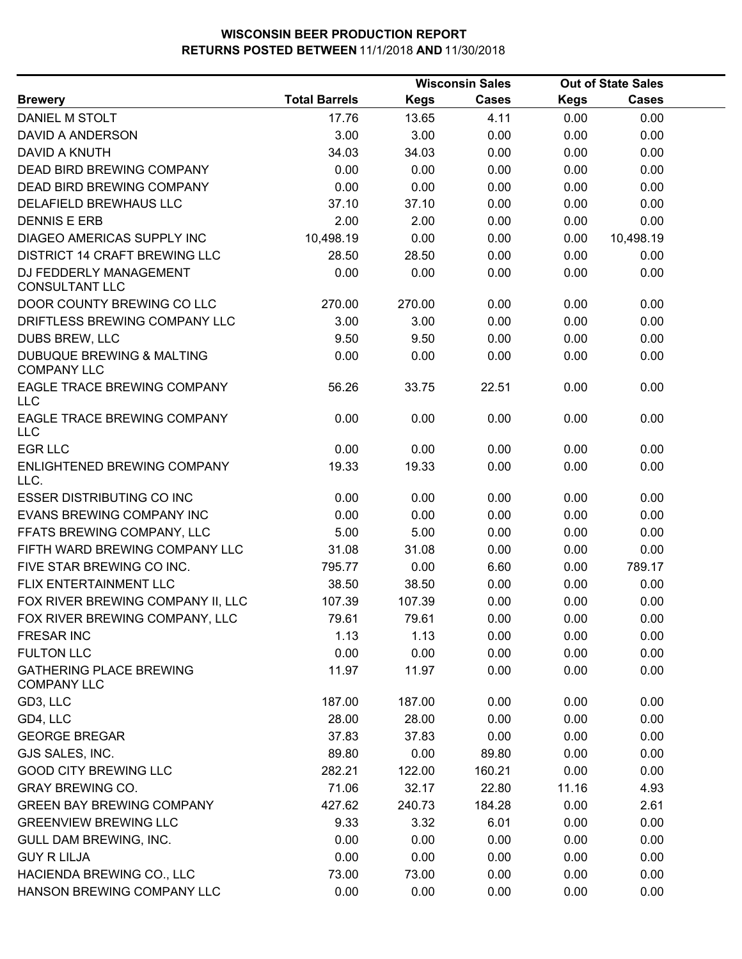|                                                            |                      |             | <b>Wisconsin Sales</b> |             | <b>Out of State Sales</b> |  |
|------------------------------------------------------------|----------------------|-------------|------------------------|-------------|---------------------------|--|
| <b>Brewery</b>                                             | <b>Total Barrels</b> | <b>Kegs</b> | <b>Cases</b>           | <b>Kegs</b> | <b>Cases</b>              |  |
| DANIEL M STOLT                                             | 17.76                | 13.65       | 4.11                   | 0.00        | 0.00                      |  |
| DAVID A ANDERSON                                           | 3.00                 | 3.00        | 0.00                   | 0.00        | 0.00                      |  |
| <b>DAVID A KNUTH</b>                                       | 34.03                | 34.03       | 0.00                   | 0.00        | 0.00                      |  |
| <b>DEAD BIRD BREWING COMPANY</b>                           | 0.00                 | 0.00        | 0.00                   | 0.00        | 0.00                      |  |
| <b>DEAD BIRD BREWING COMPANY</b>                           | 0.00                 | 0.00        | 0.00                   | 0.00        | 0.00                      |  |
| DELAFIELD BREWHAUS LLC                                     | 37.10                | 37.10       | 0.00                   | 0.00        | 0.00                      |  |
| <b>DENNIS E ERB</b>                                        | 2.00                 | 2.00        | 0.00                   | 0.00        | 0.00                      |  |
| <b>DIAGEO AMERICAS SUPPLY INC</b>                          | 10,498.19            | 0.00        | 0.00                   | 0.00        | 10,498.19                 |  |
| DISTRICT 14 CRAFT BREWING LLC                              | 28.50                | 28.50       | 0.00                   | 0.00        | 0.00                      |  |
| DJ FEDDERLY MANAGEMENT<br><b>CONSULTANT LLC</b>            | 0.00                 | 0.00        | 0.00                   | 0.00        | 0.00                      |  |
| DOOR COUNTY BREWING CO LLC                                 | 270.00               | 270.00      | 0.00                   | 0.00        | 0.00                      |  |
| DRIFTLESS BREWING COMPANY LLC                              | 3.00                 | 3.00        | 0.00                   | 0.00        | 0.00                      |  |
| DUBS BREW, LLC                                             | 9.50                 | 9.50        | 0.00                   | 0.00        | 0.00                      |  |
| <b>DUBUQUE BREWING &amp; MALTING</b><br><b>COMPANY LLC</b> | 0.00                 | 0.00        | 0.00                   | 0.00        | 0.00                      |  |
| EAGLE TRACE BREWING COMPANY<br><b>LLC</b>                  | 56.26                | 33.75       | 22.51                  | 0.00        | 0.00                      |  |
| <b>EAGLE TRACE BREWING COMPANY</b><br><b>LLC</b>           | 0.00                 | 0.00        | 0.00                   | 0.00        | 0.00                      |  |
| <b>EGR LLC</b>                                             | 0.00                 | 0.00        | 0.00                   | 0.00        | 0.00                      |  |
| ENLIGHTENED BREWING COMPANY<br>LLC.                        | 19.33                | 19.33       | 0.00                   | 0.00        | 0.00                      |  |
| <b>ESSER DISTRIBUTING CO INC</b>                           | 0.00                 | 0.00        | 0.00                   | 0.00        | 0.00                      |  |
| EVANS BREWING COMPANY INC                                  | 0.00                 | 0.00        | 0.00                   | 0.00        | 0.00                      |  |
| FFATS BREWING COMPANY, LLC                                 | 5.00                 | 5.00        | 0.00                   | 0.00        | 0.00                      |  |
| FIFTH WARD BREWING COMPANY LLC                             | 31.08                | 31.08       | 0.00                   | 0.00        | 0.00                      |  |
| FIVE STAR BREWING CO INC.                                  | 795.77               | 0.00        | 6.60                   | 0.00        | 789.17                    |  |
| FLIX ENTERTAINMENT LLC                                     | 38.50                | 38.50       | 0.00                   | 0.00        | 0.00                      |  |
| FOX RIVER BREWING COMPANY II, LLC                          | 107.39               | 107.39      | 0.00                   | 0.00        | 0.00                      |  |
| FOX RIVER BREWING COMPANY, LLC                             | 79.61                | 79.61       | 0.00                   | 0.00        | 0.00                      |  |
| <b>FRESAR INC</b>                                          | 1.13                 | 1.13        | 0.00                   | 0.00        | 0.00                      |  |
| <b>FULTON LLC</b>                                          | 0.00                 | 0.00        | 0.00                   | 0.00        | 0.00                      |  |
| <b>GATHERING PLACE BREWING</b><br><b>COMPANY LLC</b>       | 11.97                | 11.97       | 0.00                   | 0.00        | 0.00                      |  |
| GD3, LLC                                                   | 187.00               | 187.00      | 0.00                   | 0.00        | 0.00                      |  |
| GD4, LLC                                                   | 28.00                | 28.00       | 0.00                   | 0.00        | 0.00                      |  |
| <b>GEORGE BREGAR</b>                                       | 37.83                | 37.83       | 0.00                   | 0.00        | 0.00                      |  |
| GJS SALES, INC.                                            | 89.80                | 0.00        | 89.80                  | 0.00        | 0.00                      |  |
| <b>GOOD CITY BREWING LLC</b>                               | 282.21               | 122.00      | 160.21                 | 0.00        | 0.00                      |  |
| <b>GRAY BREWING CO.</b>                                    | 71.06                | 32.17       | 22.80                  | 11.16       | 4.93                      |  |
| <b>GREEN BAY BREWING COMPANY</b>                           | 427.62               | 240.73      | 184.28                 | 0.00        | 2.61                      |  |
| <b>GREENVIEW BREWING LLC</b>                               | 9.33                 | 3.32        | 6.01                   | 0.00        | 0.00                      |  |
| GULL DAM BREWING, INC.                                     | 0.00                 | 0.00        | 0.00                   | 0.00        | 0.00                      |  |
| <b>GUY R LILJA</b>                                         | 0.00                 | 0.00        | 0.00                   | 0.00        | 0.00                      |  |
| HACIENDA BREWING CO., LLC                                  | 73.00                | 73.00       | 0.00                   | 0.00        | 0.00                      |  |
| HANSON BREWING COMPANY LLC                                 | 0.00                 | 0.00        | 0.00                   | 0.00        | 0.00                      |  |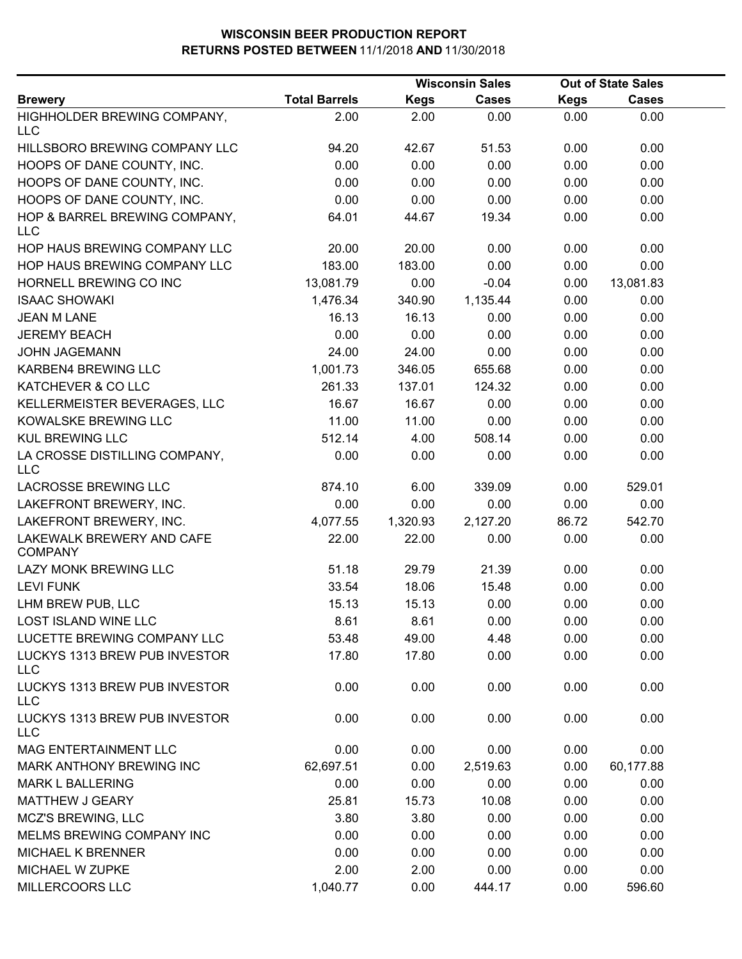|                                             |                      |             | <b>Wisconsin Sales</b> | <b>Out of State Sales</b> |              |  |
|---------------------------------------------|----------------------|-------------|------------------------|---------------------------|--------------|--|
| <b>Brewery</b>                              | <b>Total Barrels</b> | <b>Kegs</b> | <b>Cases</b>           | <b>Kegs</b>               | <b>Cases</b> |  |
| HIGHHOLDER BREWING COMPANY,<br>LLC          | 2.00                 | 2.00        | 0.00                   | 0.00                      | 0.00         |  |
| HILLSBORO BREWING COMPANY LLC               | 94.20                | 42.67       | 51.53                  | 0.00                      | 0.00         |  |
| HOOPS OF DANE COUNTY, INC.                  | 0.00                 | 0.00        | 0.00                   | 0.00                      | 0.00         |  |
| HOOPS OF DANE COUNTY, INC.                  | 0.00                 | 0.00        | 0.00                   | 0.00                      | 0.00         |  |
| HOOPS OF DANE COUNTY, INC.                  | 0.00                 | 0.00        | 0.00                   | 0.00                      | 0.00         |  |
| HOP & BARREL BREWING COMPANY,<br><b>LLC</b> | 64.01                | 44.67       | 19.34                  | 0.00                      | 0.00         |  |
| HOP HAUS BREWING COMPANY LLC                | 20.00                | 20.00       | 0.00                   | 0.00                      | 0.00         |  |
| HOP HAUS BREWING COMPANY LLC                | 183.00               | 183.00      | 0.00                   | 0.00                      | 0.00         |  |
| HORNELL BREWING CO INC                      | 13,081.79            | 0.00        | $-0.04$                | 0.00                      | 13,081.83    |  |
| <b>ISAAC SHOWAKI</b>                        | 1,476.34             | 340.90      | 1,135.44               | 0.00                      | 0.00         |  |
| <b>JEAN M LANE</b>                          | 16.13                | 16.13       | 0.00                   | 0.00                      | 0.00         |  |
| <b>JEREMY BEACH</b>                         | 0.00                 | 0.00        | 0.00                   | 0.00                      | 0.00         |  |
| <b>JOHN JAGEMANN</b>                        | 24.00                | 24.00       | 0.00                   | 0.00                      | 0.00         |  |
| KARBEN4 BREWING LLC                         | 1,001.73             | 346.05      | 655.68                 | 0.00                      | 0.00         |  |
| KATCHEVER & CO LLC                          | 261.33               | 137.01      | 124.32                 | 0.00                      | 0.00         |  |
| KELLERMEISTER BEVERAGES, LLC                | 16.67                | 16.67       | 0.00                   | 0.00                      | 0.00         |  |
| KOWALSKE BREWING LLC                        | 11.00                | 11.00       | 0.00                   | 0.00                      | 0.00         |  |
| <b>KUL BREWING LLC</b>                      | 512.14               | 4.00        | 508.14                 | 0.00                      | 0.00         |  |
| LA CROSSE DISTILLING COMPANY,<br><b>LLC</b> | 0.00                 | 0.00        | 0.00                   | 0.00                      | 0.00         |  |
| LACROSSE BREWING LLC                        | 874.10               | 6.00        | 339.09                 | 0.00                      | 529.01       |  |
| LAKEFRONT BREWERY, INC.                     | 0.00                 | 0.00        | 0.00                   | 0.00                      | 0.00         |  |
| LAKEFRONT BREWERY, INC.                     | 4,077.55             | 1,320.93    | 2,127.20               | 86.72                     | 542.70       |  |
| LAKEWALK BREWERY AND CAFE<br><b>COMPANY</b> | 22.00                | 22.00       | 0.00                   | 0.00                      | 0.00         |  |
| LAZY MONK BREWING LLC                       | 51.18                | 29.79       | 21.39                  | 0.00                      | 0.00         |  |
| <b>LEVI FUNK</b>                            | 33.54                | 18.06       | 15.48                  | 0.00                      | 0.00         |  |
| LHM BREW PUB, LLC                           | 15.13                | 15.13       | 0.00                   | 0.00                      | 0.00         |  |
| <b>LOST ISLAND WINE LLC</b>                 | 8.61                 | 8.61        | 0.00                   | 0.00                      | 0.00         |  |
| LUCETTE BREWING COMPANY LLC                 | 53.48                | 49.00       | 4.48                   | 0.00                      | 0.00         |  |
| LUCKYS 1313 BREW PUB INVESTOR<br><b>LLC</b> | 17.80                | 17.80       | 0.00                   | 0.00                      | 0.00         |  |
| LUCKYS 1313 BREW PUB INVESTOR<br><b>LLC</b> | 0.00                 | 0.00        | 0.00                   | 0.00                      | 0.00         |  |
| LUCKYS 1313 BREW PUB INVESTOR<br><b>LLC</b> | 0.00                 | 0.00        | 0.00                   | 0.00                      | 0.00         |  |
| MAG ENTERTAINMENT LLC                       | 0.00                 | 0.00        | 0.00                   | 0.00                      | 0.00         |  |
| <b>MARK ANTHONY BREWING INC</b>             | 62,697.51            | 0.00        | 2,519.63               | 0.00                      | 60,177.88    |  |
| <b>MARK L BALLERING</b>                     | 0.00                 | 0.00        | 0.00                   | 0.00                      | 0.00         |  |
| <b>MATTHEW J GEARY</b>                      | 25.81                | 15.73       | 10.08                  | 0.00                      | 0.00         |  |
| <b>MCZ'S BREWING, LLC</b>                   | 3.80                 | 3.80        | 0.00                   | 0.00                      | 0.00         |  |
| MELMS BREWING COMPANY INC                   | 0.00                 | 0.00        | 0.00                   | 0.00                      | 0.00         |  |
| MICHAEL K BRENNER                           | 0.00                 | 0.00        | 0.00                   | 0.00                      | 0.00         |  |
| MICHAEL W ZUPKE                             | 2.00                 | 2.00        | 0.00                   | 0.00                      | 0.00         |  |
| MILLERCOORS LLC                             | 1,040.77             | 0.00        | 444.17                 | 0.00                      | 596.60       |  |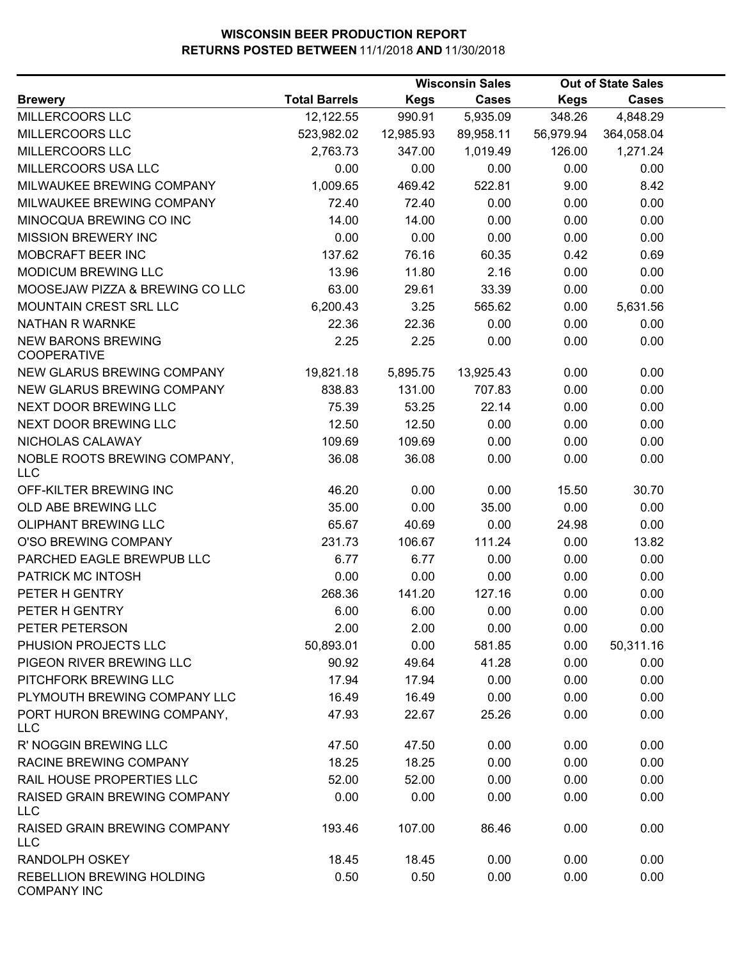|                                                 |                      |             | <b>Wisconsin Sales</b> | <b>Out of State Sales</b> |              |  |
|-------------------------------------------------|----------------------|-------------|------------------------|---------------------------|--------------|--|
| <b>Brewery</b>                                  | <b>Total Barrels</b> | <b>Kegs</b> | <b>Cases</b>           | <b>Kegs</b>               | <b>Cases</b> |  |
| MILLERCOORS LLC                                 | 12,122.55            | 990.91      | 5,935.09               | 348.26                    | 4,848.29     |  |
| MILLERCOORS LLC                                 | 523,982.02           | 12,985.93   | 89,958.11              | 56,979.94                 | 364,058.04   |  |
| MILLERCOORS LLC                                 | 2,763.73             | 347.00      | 1,019.49               | 126.00                    | 1,271.24     |  |
| MILLERCOORS USA LLC                             | 0.00                 | 0.00        | 0.00                   | 0.00                      | 0.00         |  |
| MILWAUKEE BREWING COMPANY                       | 1,009.65             | 469.42      | 522.81                 | 9.00                      | 8.42         |  |
| MILWAUKEE BREWING COMPANY                       | 72.40                | 72.40       | 0.00                   | 0.00                      | 0.00         |  |
| MINOCQUA BREWING CO INC                         | 14.00                | 14.00       | 0.00                   | 0.00                      | 0.00         |  |
| <b>MISSION BREWERY INC</b>                      | 0.00                 | 0.00        | 0.00                   | 0.00                      | 0.00         |  |
| MOBCRAFT BEER INC                               | 137.62               | 76.16       | 60.35                  | 0.42                      | 0.69         |  |
| MODICUM BREWING LLC                             | 13.96                | 11.80       | 2.16                   | 0.00                      | 0.00         |  |
| MOOSEJAW PIZZA & BREWING CO LLC                 | 63.00                | 29.61       | 33.39                  | 0.00                      | 0.00         |  |
| MOUNTAIN CREST SRL LLC                          | 6,200.43             | 3.25        | 565.62                 | 0.00                      | 5,631.56     |  |
| NATHAN R WARNKE                                 | 22.36                | 22.36       | 0.00                   | 0.00                      | 0.00         |  |
| <b>NEW BARONS BREWING</b><br><b>COOPERATIVE</b> | 2.25                 | 2.25        | 0.00                   | 0.00                      | 0.00         |  |
| NEW GLARUS BREWING COMPANY                      | 19,821.18            | 5,895.75    | 13,925.43              | 0.00                      | 0.00         |  |
| NEW GLARUS BREWING COMPANY                      | 838.83               | 131.00      | 707.83                 | 0.00                      | 0.00         |  |
| NEXT DOOR BREWING LLC                           | 75.39                | 53.25       | 22.14                  | 0.00                      | 0.00         |  |
| NEXT DOOR BREWING LLC                           | 12.50                | 12.50       | 0.00                   | 0.00                      | 0.00         |  |
| NICHOLAS CALAWAY                                | 109.69               | 109.69      | 0.00                   | 0.00                      | 0.00         |  |
| NOBLE ROOTS BREWING COMPANY,<br><b>LLC</b>      | 36.08                | 36.08       | 0.00                   | 0.00                      | 0.00         |  |
| OFF-KILTER BREWING INC                          | 46.20                | 0.00        | 0.00                   | 15.50                     | 30.70        |  |
| OLD ABE BREWING LLC                             | 35.00                | 0.00        | 35.00                  | 0.00                      | 0.00         |  |
| OLIPHANT BREWING LLC                            | 65.67                | 40.69       | 0.00                   | 24.98                     | 0.00         |  |
| O'SO BREWING COMPANY                            | 231.73               | 106.67      | 111.24                 | 0.00                      | 13.82        |  |
| PARCHED EAGLE BREWPUB LLC                       | 6.77                 | 6.77        | 0.00                   | 0.00                      | 0.00         |  |
| PATRICK MC INTOSH                               | 0.00                 | 0.00        | 0.00                   | 0.00                      | 0.00         |  |
| PETER H GENTRY                                  | 268.36               | 141.20      | 127.16                 | 0.00                      | 0.00         |  |
| PETER H GENTRY                                  | 6.00                 | 6.00        | 0.00                   | 0.00                      | 0.00         |  |
| PETER PETERSON                                  | 2.00                 | 2.00        | 0.00                   | 0.00                      | 0.00         |  |
| PHUSION PROJECTS LLC                            | 50,893.01            | 0.00        | 581.85                 | 0.00                      | 50,311.16    |  |
| PIGEON RIVER BREWING LLC                        | 90.92                | 49.64       | 41.28                  | 0.00                      | 0.00         |  |
| PITCHFORK BREWING LLC                           | 17.94                | 17.94       | 0.00                   | 0.00                      | 0.00         |  |
| PLYMOUTH BREWING COMPANY LLC                    | 16.49                | 16.49       | 0.00                   | 0.00                      | 0.00         |  |
| PORT HURON BREWING COMPANY,<br><b>LLC</b>       | 47.93                | 22.67       | 25.26                  | 0.00                      | 0.00         |  |
| R' NOGGIN BREWING LLC                           | 47.50                | 47.50       | 0.00                   | 0.00                      | 0.00         |  |
| RACINE BREWING COMPANY                          | 18.25                | 18.25       | 0.00                   | 0.00                      | 0.00         |  |
| RAIL HOUSE PROPERTIES LLC                       | 52.00                | 52.00       | 0.00                   | 0.00                      | 0.00         |  |
| RAISED GRAIN BREWING COMPANY<br><b>LLC</b>      | 0.00                 | 0.00        | 0.00                   | 0.00                      | 0.00         |  |
| RAISED GRAIN BREWING COMPANY<br><b>LLC</b>      | 193.46               | 107.00      | 86.46                  | 0.00                      | 0.00         |  |
| RANDOLPH OSKEY                                  | 18.45                | 18.45       | 0.00                   | 0.00                      | 0.00         |  |
| REBELLION BREWING HOLDING<br><b>COMPANY INC</b> | 0.50                 | 0.50        | 0.00                   | 0.00                      | 0.00         |  |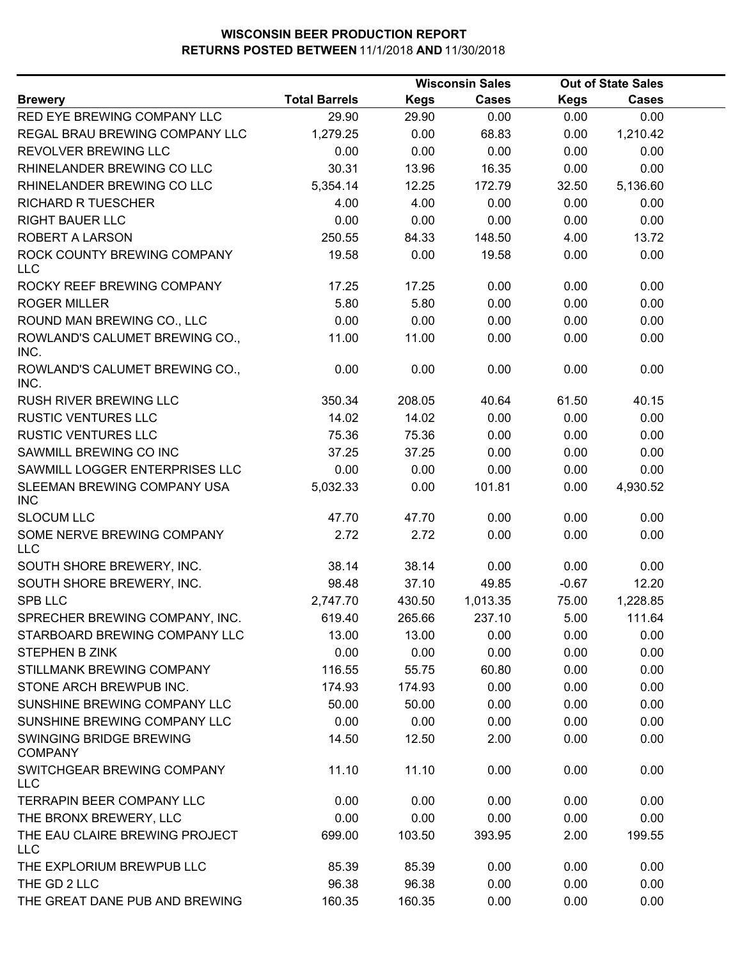|                                                  |                      |             | <b>Wisconsin Sales</b> |             | <b>Out of State Sales</b> |  |
|--------------------------------------------------|----------------------|-------------|------------------------|-------------|---------------------------|--|
| <b>Brewery</b>                                   | <b>Total Barrels</b> | <b>Kegs</b> | <b>Cases</b>           | <b>Kegs</b> | <b>Cases</b>              |  |
| RED EYE BREWING COMPANY LLC                      | 29.90                | 29.90       | 0.00                   | 0.00        | 0.00                      |  |
| REGAL BRAU BREWING COMPANY LLC                   | 1,279.25             | 0.00        | 68.83                  | 0.00        | 1,210.42                  |  |
| REVOLVER BREWING LLC                             | 0.00                 | 0.00        | 0.00                   | 0.00        | 0.00                      |  |
| RHINELANDER BREWING CO LLC                       | 30.31                | 13.96       | 16.35                  | 0.00        | 0.00                      |  |
| RHINELANDER BREWING CO LLC                       | 5,354.14             | 12.25       | 172.79                 | 32.50       | 5,136.60                  |  |
| <b>RICHARD R TUESCHER</b>                        | 4.00                 | 4.00        | 0.00                   | 0.00        | 0.00                      |  |
| <b>RIGHT BAUER LLC</b>                           | 0.00                 | 0.00        | 0.00                   | 0.00        | 0.00                      |  |
| <b>ROBERT A LARSON</b>                           | 250.55               | 84.33       | 148.50                 | 4.00        | 13.72                     |  |
| ROCK COUNTY BREWING COMPANY<br><b>LLC</b>        | 19.58                | 0.00        | 19.58                  | 0.00        | 0.00                      |  |
| ROCKY REEF BREWING COMPANY                       | 17.25                | 17.25       | 0.00                   | 0.00        | 0.00                      |  |
| <b>ROGER MILLER</b>                              | 5.80                 | 5.80        | 0.00                   | 0.00        | 0.00                      |  |
| ROUND MAN BREWING CO., LLC                       | 0.00                 | 0.00        | 0.00                   | 0.00        | 0.00                      |  |
| ROWLAND'S CALUMET BREWING CO.,<br>INC.           | 11.00                | 11.00       | 0.00                   | 0.00        | 0.00                      |  |
| ROWLAND'S CALUMET BREWING CO.,<br>INC.           | 0.00                 | 0.00        | 0.00                   | 0.00        | 0.00                      |  |
| <b>RUSH RIVER BREWING LLC</b>                    | 350.34               | 208.05      | 40.64                  | 61.50       | 40.15                     |  |
| <b>RUSTIC VENTURES LLC</b>                       | 14.02                | 14.02       | 0.00                   | 0.00        | 0.00                      |  |
| <b>RUSTIC VENTURES LLC</b>                       | 75.36                | 75.36       | 0.00                   | 0.00        | 0.00                      |  |
| SAWMILL BREWING CO INC                           | 37.25                | 37.25       | 0.00                   | 0.00        | 0.00                      |  |
| SAWMILL LOGGER ENTERPRISES LLC                   | 0.00                 | 0.00        | 0.00                   | 0.00        | 0.00                      |  |
| SLEEMAN BREWING COMPANY USA<br><b>INC</b>        | 5,032.33             | 0.00        | 101.81                 | 0.00        | 4,930.52                  |  |
| <b>SLOCUM LLC</b>                                | 47.70                | 47.70       | 0.00                   | 0.00        | 0.00                      |  |
| SOME NERVE BREWING COMPANY<br><b>LLC</b>         | 2.72                 | 2.72        | 0.00                   | 0.00        | 0.00                      |  |
| SOUTH SHORE BREWERY, INC.                        | 38.14                | 38.14       | 0.00                   | 0.00        | 0.00                      |  |
| SOUTH SHORE BREWERY, INC.                        | 98.48                | 37.10       | 49.85                  | $-0.67$     | 12.20                     |  |
| <b>SPB LLC</b>                                   | 2,747.70             | 430.50      | 1,013.35               | 75.00       | 1,228.85                  |  |
| SPRECHER BREWING COMPANY, INC.                   | 619.40               | 265.66      | 237.10                 | 5.00        | 111.64                    |  |
| STARBOARD BREWING COMPANY LLC                    | 13.00                | 13.00       | 0.00                   | 0.00        | 0.00                      |  |
| STEPHEN B ZINK                                   | 0.00                 | 0.00        | 0.00                   | 0.00        | 0.00                      |  |
| STILLMANK BREWING COMPANY                        | 116.55               | 55.75       | 60.80                  | 0.00        | 0.00                      |  |
| STONE ARCH BREWPUB INC.                          | 174.93               | 174.93      | 0.00                   | 0.00        | 0.00                      |  |
| SUNSHINE BREWING COMPANY LLC                     | 50.00                | 50.00       | 0.00                   | 0.00        | 0.00                      |  |
| SUNSHINE BREWING COMPANY LLC                     | 0.00                 | 0.00        | 0.00                   | 0.00        | 0.00                      |  |
| <b>SWINGING BRIDGE BREWING</b><br><b>COMPANY</b> | 14.50                | 12.50       | 2.00                   | 0.00        | 0.00                      |  |
| SWITCHGEAR BREWING COMPANY<br><b>LLC</b>         | 11.10                | 11.10       | 0.00                   | 0.00        | 0.00                      |  |
| <b>TERRAPIN BEER COMPANY LLC</b>                 | 0.00                 | 0.00        | 0.00                   | 0.00        | 0.00                      |  |
| THE BRONX BREWERY, LLC                           | 0.00                 | 0.00        | 0.00                   | 0.00        | 0.00                      |  |
| THE EAU CLAIRE BREWING PROJECT<br><b>LLC</b>     | 699.00               | 103.50      | 393.95                 | 2.00        | 199.55                    |  |
| THE EXPLORIUM BREWPUB LLC                        | 85.39                | 85.39       | 0.00                   | 0.00        | 0.00                      |  |
| THE GD 2 LLC                                     | 96.38                | 96.38       | 0.00                   | 0.00        | 0.00                      |  |
| THE GREAT DANE PUB AND BREWING                   | 160.35               | 160.35      | 0.00                   | 0.00        | 0.00                      |  |